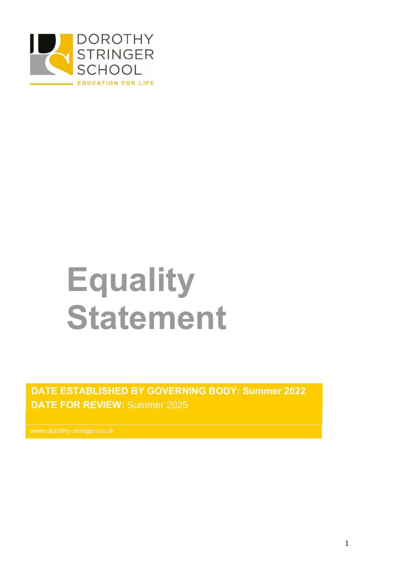

# **Equality Statement**

**DATE ESTABLISHED BY GOVERNING BODY: Summer 2022 DATE FOR REVIEW:** Summer 2025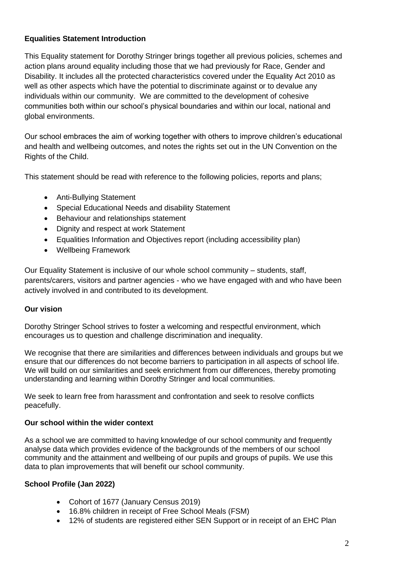# **Equalities Statement Introduction**

This Equality statement for Dorothy Stringer brings together all previous policies, schemes and action plans around equality including those that we had previously for Race, Gender and Disability. It includes all the protected characteristics covered under the Equality Act 2010 as well as other aspects which have the potential to discriminate against or to devalue any individuals within our community. We are committed to the development of cohesive communities both within our school's physical boundaries and within our local, national and global environments.

Our school embraces the aim of working together with others to improve children's educational and health and wellbeing outcomes, and notes the rights set out in the UN Convention on the Rights of the Child.

This statement should be read with reference to the following policies, reports and plans;

- Anti-Bullying Statement
- Special Educational Needs and disability Statement
- Behaviour and relationships statement
- Dignity and respect at work Statement
- Equalities Information and Objectives report (including accessibility plan)
- Wellbeing Framework

Our Equality Statement is inclusive of our whole school community – students, staff, parents/carers, visitors and partner agencies - who we have engaged with and who have been actively involved in and contributed to its development.

# **Our vision**

Dorothy Stringer School strives to foster a welcoming and respectful environment, which encourages us to question and challenge discrimination and inequality.

We recognise that there are similarities and differences between individuals and groups but we ensure that our differences do not become barriers to participation in all aspects of school life. We will build on our similarities and seek enrichment from our differences, thereby promoting understanding and learning within Dorothy Stringer and local communities.

We seek to learn free from harassment and confrontation and seek to resolve conflicts peacefully.

# **Our school within the wider context**

As a school we are committed to having knowledge of our school community and frequently analyse data which provides evidence of the backgrounds of the members of our school community and the attainment and wellbeing of our pupils and groups of pupils. We use this data to plan improvements that will benefit our school community.

# **School Profile (Jan 2022)**

- Cohort of 1677 (January Census 2019)
- 16.8% children in receipt of Free School Meals (FSM)
- 12% of students are registered either SEN Support or in receipt of an EHC Plan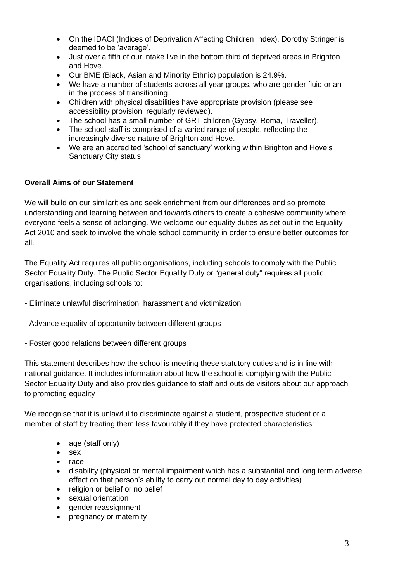- On the IDACI (Indices of Deprivation Affecting Children Index), Dorothy Stringer is deemed to be 'average'.
- Just over a fifth of our intake live in the bottom third of deprived areas in Brighton and Hove.
- Our BME (Black, Asian and Minority Ethnic) population is 24.9%.
- We have a number of students across all year groups, who are gender fluid or an in the process of transitioning.
- Children with physical disabilities have appropriate provision (please see accessibility provision; regularly reviewed).
- The school has a small number of GRT children (Gypsy, Roma, Traveller).
- The school staff is comprised of a varied range of people, reflecting the increasingly diverse nature of Brighton and Hove.
- We are an accredited 'school of sanctuary' working within Brighton and Hove's Sanctuary City status

# **Overall Aims of our Statement**

We will build on our similarities and seek enrichment from our differences and so promote understanding and learning between and towards others to create a cohesive community where everyone feels a sense of belonging. We welcome our equality duties as set out in the Equality Act 2010 and seek to involve the whole school community in order to ensure better outcomes for all.

The Equality Act requires all public organisations, including schools to comply with the Public Sector Equality Duty. The Public Sector Equality Duty or "general duty" requires all public organisations, including schools to:

- Eliminate unlawful discrimination, harassment and victimization
- Advance equality of opportunity between different groups
- Foster good relations between different groups

This statement describes how the school is meeting these statutory duties and is in line with national guidance. It includes information about how the school is complying with the Public Sector Equality Duty and also provides guidance to staff and outside visitors about our approach to promoting equality

We recognise that it is unlawful to discriminate against a student, prospective student or a member of staff by treating them less favourably if they have protected characteristics:

- age (staff only)
- sex
- race
- disability (physical or mental impairment which has a substantial and long term adverse effect on that person's ability to carry out normal day to day activities)
- religion or belief or no belief
- sexual orientation
- gender reassignment
- pregnancy or maternity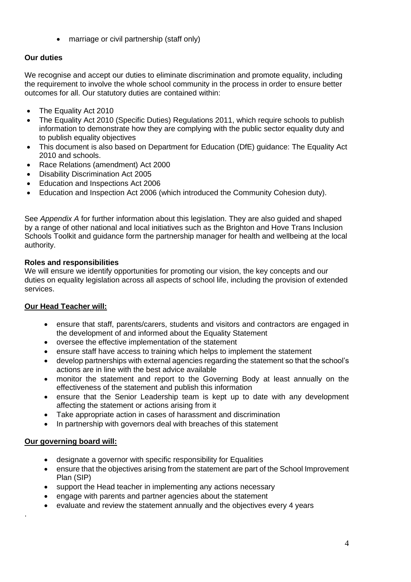• marriage or civil partnership (staff only)

# **Our duties**

We recognise and accept our duties to eliminate discrimination and promote equality, including the requirement to involve the whole school community in the process in order to ensure better outcomes for all. Our statutory duties are contained within:

- The Equality Act 2010
- [The Equality Act 2010 \(Specific Duties\) Regulations 2011,](http://www.legislation.gov.uk/uksi/2011/2260/contents/made) which require schools to publish information to demonstrate how they are complying with the public sector equality duty and to publish equality objectives
- This document is also based on Department for Education (DfE) guidance: [The Equality Act](https://www.gov.uk/government/publications/equality-act-2010-advice-for-schools)  [2010 and schools.](https://www.gov.uk/government/publications/equality-act-2010-advice-for-schools)
- Race Relations (amendment) Act 2000
- Disability Discrimination Act 2005
- Education and Inspections Act 2006
- Education and Inspection Act 2006 (which introduced the Community Cohesion duty).

See *Appendix A* for further information about this legislation. They are also guided and shaped by a range of other national and local initiatives such as the Brighton and Hove Trans Inclusion Schools Toolkit and guidance form the partnership manager for health and wellbeing at the local authority.

# **Roles and responsibilities**

We will ensure we identify opportunities for promoting our vision, the key concepts and our duties on equality legislation across all aspects of school life, including the provision of extended services.

# **Our Head Teacher will:**

- ensure that staff, parents/carers, students and visitors and contractors are engaged in the development of and informed about the Equality Statement
- oversee the effective implementation of the statement
- ensure staff have access to training which helps to implement the statement
- develop partnerships with external agencies regarding the statement so that the school's actions are in line with the best advice available
- monitor the statement and report to the Governing Body at least annually on the effectiveness of the statement and publish this information
- ensure that the Senior Leadership team is kept up to date with any development affecting the statement or actions arising from it
- Take appropriate action in cases of harassment and discrimination
- In partnership with governors deal with breaches of this statement

# **Our governing board will:**

.

- designate a governor with specific responsibility for Equalities
- ensure that the objectives arising from the statement are part of the School Improvement Plan (SIP)
- support the Head teacher in implementing any actions necessary
- engage with parents and partner agencies about the statement
- evaluate and review the statement annually and the objectives every 4 years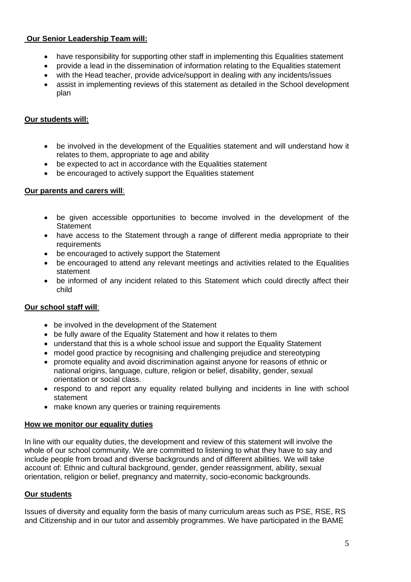# **Our Senior Leadership Team will:**

- have responsibility for supporting other staff in implementing this Equalities statement
- provide a lead in the dissemination of information relating to the Equalities statement
- with the Head teacher, provide advice/support in dealing with any incidents/issues
- assist in implementing reviews of this statement as detailed in the School development plan

# **Our students will:**

- be involved in the development of the Equalities statement and will understand how it relates to them, appropriate to age and ability
- be expected to act in accordance with the Equalities statement
- be encouraged to actively support the Equalities statement

## **Our parents and carers will**:

- be given accessible opportunities to become involved in the development of the **Statement**
- have access to the Statement through a range of different media appropriate to their requirements
- be encouraged to actively support the Statement
- be encouraged to attend any relevant meetings and activities related to the Equalities statement
- be informed of any incident related to this Statement which could directly affect their child

# **Our school staff will**:

- be involved in the development of the Statement
- be fully aware of the Equality Statement and how it relates to them
- understand that this is a whole school issue and support the Equality Statement
- model good practice by recognising and challenging prejudice and stereotyping
- promote equality and avoid discrimination against anyone for reasons of ethnic or national origins, language, culture, religion or belief, disability, gender, sexual orientation or social class.
- respond to and report any equality related bullying and incidents in line with school statement
- make known any queries or training requirements

## **How we monitor our equality duties**

In line with our equality duties, the development and review of this statement will involve the whole of our school community. We are committed to listening to what they have to say and include people from broad and diverse backgrounds and of different abilities. We will take account of: Ethnic and cultural background, gender, gender reassignment, ability, sexual orientation, religion or belief, pregnancy and maternity, socio-economic backgrounds.

## **Our students**

Issues of diversity and equality form the basis of many curriculum areas such as PSE, RSE, RS and Citizenship and in our tutor and assembly programmes. We have participated in the BAME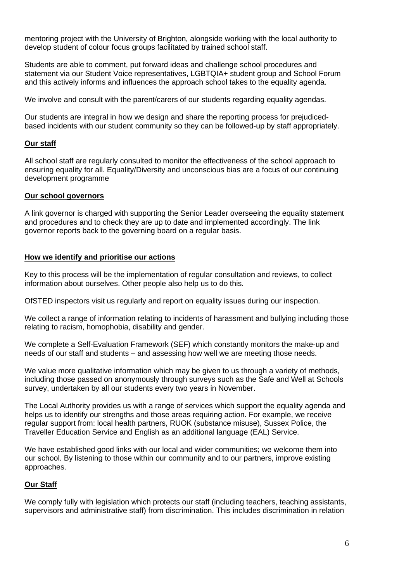mentoring project with the University of Brighton, alongside working with the local authority to develop student of colour focus groups facilitated by trained school staff.

Students are able to comment, put forward ideas and challenge school procedures and statement via our Student Voice representatives, LGBTQIA+ student group and School Forum and this actively informs and influences the approach school takes to the equality agenda.

We involve and consult with the parent/carers of our students regarding equality agendas.

Our students are integral in how we design and share the reporting process for prejudicedbased incidents with our student community so they can be followed-up by staff appropriately.

## **Our staff**

All school staff are regularly consulted to monitor the effectiveness of the school approach to ensuring equality for all. Equality/Diversity and unconscious bias are a focus of our continuing development programme

## **Our school governors**

A link governor is charged with supporting the Senior Leader overseeing the equality statement and procedures and to check they are up to date and implemented accordingly. The link governor reports back to the governing board on a regular basis.

## **How we identify and prioritise our actions**

Key to this process will be the implementation of regular consultation and reviews, to collect information about ourselves. Other people also help us to do this.

OfSTED inspectors visit us regularly and report on equality issues during our inspection.

We collect a range of information relating to incidents of harassment and bullying including those relating to racism, homophobia, disability and gender.

We complete a Self-Evaluation Framework (SEF) which constantly monitors the make-up and needs of our staff and students – and assessing how well we are meeting those needs.

We value more qualitative information which may be given to us through a variety of methods, including those passed on anonymously through surveys such as the Safe and Well at Schools survey, undertaken by all our students every two years in November.

The Local Authority provides us with a range of services which support the equality agenda and helps us to identify our strengths and those areas requiring action. For example, we receive regular support from: local health partners, RUOK (substance misuse), Sussex Police, the Traveller Education Service and English as an additional language (EAL) Service.

We have established good links with our local and wider communities; we welcome them into our school. By listening to those within our community and to our partners, improve existing approaches.

# **Our Staff**

We comply fully with legislation which protects our staff (including teachers, teaching assistants, supervisors and administrative staff) from discrimination. This includes discrimination in relation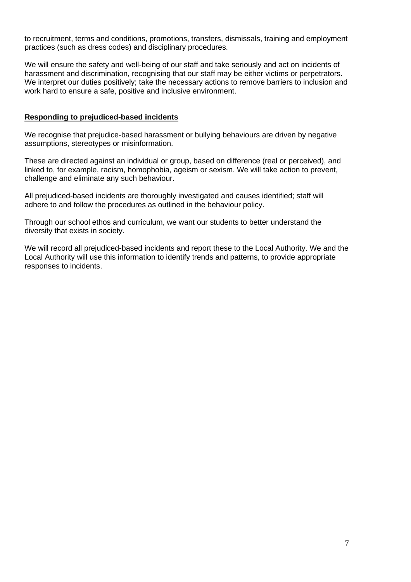to recruitment, terms and conditions, promotions, transfers, dismissals, training and employment practices (such as dress codes) and disciplinary procedures.

We will ensure the safety and well-being of our staff and take seriously and act on incidents of harassment and discrimination, recognising that our staff may be either victims or perpetrators. We interpret our duties positively; take the necessary actions to remove barriers to inclusion and work hard to ensure a safe, positive and inclusive environment.

#### **Responding to prejudiced-based incidents**

We recognise that prejudice-based harassment or bullying behaviours are driven by negative assumptions, stereotypes or misinformation.

These are directed against an individual or group, based on difference (real or perceived), and linked to, for example, racism, homophobia, ageism or sexism. We will take action to prevent, challenge and eliminate any such behaviour.

All prejudiced-based incidents are thoroughly investigated and causes identified; staff will adhere to and follow the procedures as outlined in the behaviour policy.

Through our school ethos and curriculum, we want our students to better understand the diversity that exists in society.

We will record all prejudiced-based incidents and report these to the Local Authority. We and the Local Authority will use this information to identify trends and patterns, to provide appropriate responses to incidents.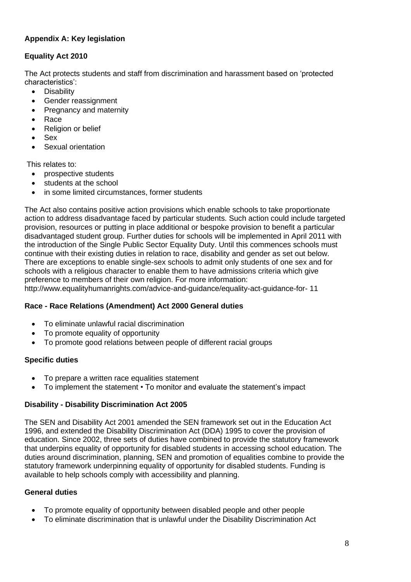# **Appendix A: Key legislation**

# **Equality Act 2010**

The Act protects students and staff from discrimination and harassment based on 'protected characteristics':

- Disability
- Gender reassignment
- Pregnancy and maternity
- Race
- Religion or belief
- Sex
- Sexual orientation

This relates to:

- prospective students
- students at the school
- in some limited circumstances, former students

The Act also contains positive action provisions which enable schools to take proportionate action to address disadvantage faced by particular students. Such action could include targeted provision, resources or putting in place additional or bespoke provision to benefit a particular disadvantaged student group. Further duties for schools will be implemented in April 2011 with the introduction of the Single Public Sector Equality Duty. Until this commences schools must continue with their existing duties in relation to race, disability and gender as set out below. There are exceptions to enable single-sex schools to admit only students of one sex and for schools with a religious character to enable them to have admissions criteria which give preference to members of their own religion. For more information:

http://www.equalityhumanrights.com/advice-and-guidance/equality-act-guidance-for- 11

# **Race - Race Relations (Amendment) Act 2000 General duties**

- To eliminate unlawful racial discrimination
- To promote equality of opportunity
- To promote good relations between people of different racial groups

# **Specific duties**

- To prepare a written race equalities statement
- To implement the statement To monitor and evaluate the statement's impact

# **Disability - Disability Discrimination Act 2005**

The SEN and Disability Act 2001 amended the SEN framework set out in the Education Act 1996, and extended the Disability Discrimination Act (DDA) 1995 to cover the provision of education. Since 2002, three sets of duties have combined to provide the statutory framework that underpins equality of opportunity for disabled students in accessing school education. The duties around discrimination, planning, SEN and promotion of equalities combine to provide the statutory framework underpinning equality of opportunity for disabled students. Funding is available to help schools comply with accessibility and planning.

# **General duties**

- To promote equality of opportunity between disabled people and other people
- To eliminate discrimination that is unlawful under the Disability Discrimination Act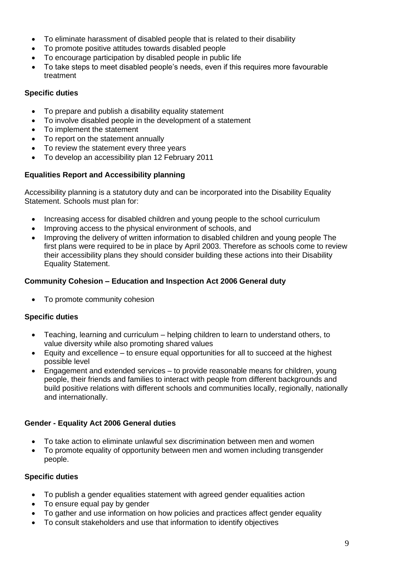- To eliminate harassment of disabled people that is related to their disability
- To promote positive attitudes towards disabled people
- To encourage participation by disabled people in public life
- To take steps to meet disabled people's needs, even if this requires more favourable treatment

## **Specific duties**

- To prepare and publish a disability equality statement
- To involve disabled people in the development of a statement
- To implement the statement
- To report on the statement annually
- To review the statement every three years
- To develop an accessibility plan 12 February 2011

# **Equalities Report and Accessibility planning**

Accessibility planning is a statutory duty and can be incorporated into the Disability Equality Statement. Schools must plan for:

- Increasing access for disabled children and young people to the school curriculum
- Improving access to the physical environment of schools, and
- Improving the delivery of written information to disabled children and young people The first plans were required to be in place by April 2003. Therefore as schools come to review their accessibility plans they should consider building these actions into their Disability Equality Statement.

# **Community Cohesion – Education and Inspection Act 2006 General duty**

• To promote community cohesion

## **Specific duties**

- Teaching, learning and curriculum helping children to learn to understand others, to value diversity while also promoting shared values
- Equity and excellence to ensure equal opportunities for all to succeed at the highest possible level
- Engagement and extended services to provide reasonable means for children, young people, their friends and families to interact with people from different backgrounds and build positive relations with different schools and communities locally, regionally, nationally and internationally.

## **Gender - Equality Act 2006 General duties**

- To take action to eliminate unlawful sex discrimination between men and women
- To promote equality of opportunity between men and women including transgender people.

## **Specific duties**

- To publish a gender equalities statement with agreed gender equalities action
- To ensure equal pay by gender
- To gather and use information on how policies and practices affect gender equality
- To consult stakeholders and use that information to identify objectives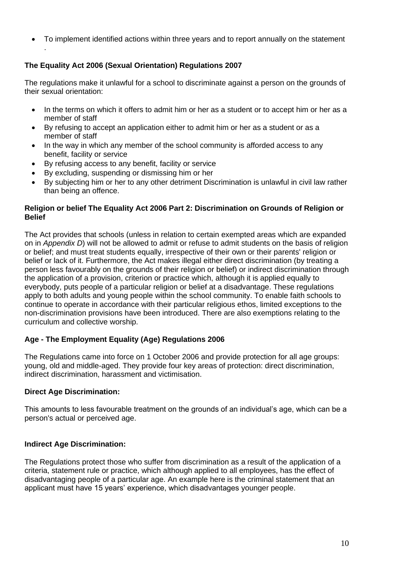• To implement identified actions within three years and to report annually on the statement

# **The Equality Act 2006 (Sexual Orientation) Regulations 2007**

.

The regulations make it unlawful for a school to discriminate against a person on the grounds of their sexual orientation:

- In the terms on which it offers to admit him or her as a student or to accept him or her as a member of staff
- By refusing to accept an application either to admit him or her as a student or as a member of staff
- In the way in which any member of the school community is afforded access to any benefit, facility or service
- By refusing access to any benefit, facility or service
- By excluding, suspending or dismissing him or her
- By subjecting him or her to any other detriment Discrimination is unlawful in civil law rather than being an offence.

## **Religion or belief The Equality Act 2006 Part 2: Discrimination on Grounds of Religion or Belief**

The Act provides that schools (unless in relation to certain exempted areas which are expanded on in *Appendix D*) will not be allowed to admit or refuse to admit students on the basis of religion or belief; and must treat students equally, irrespective of their own or their parents' religion or belief or lack of it. Furthermore, the Act makes illegal either direct discrimination (by treating a person less favourably on the grounds of their religion or belief) or indirect discrimination through the application of a provision, criterion or practice which, although it is applied equally to everybody, puts people of a particular religion or belief at a disadvantage. These regulations apply to both adults and young people within the school community. To enable faith schools to continue to operate in accordance with their particular religious ethos, limited exceptions to the non-discrimination provisions have been introduced. There are also exemptions relating to the curriculum and collective worship.

# **Age - The Employment Equality (Age) Regulations 2006**

The Regulations came into force on 1 October 2006 and provide protection for all age groups: young, old and middle-aged. They provide four key areas of protection: direct discrimination, indirect discrimination, harassment and victimisation.

## **Direct Age Discrimination:**

This amounts to less favourable treatment on the grounds of an individual's age, which can be a person's actual or perceived age.

# **Indirect Age Discrimination:**

The Regulations protect those who suffer from discrimination as a result of the application of a criteria, statement rule or practice, which although applied to all employees, has the effect of disadvantaging people of a particular age. An example here is the criminal statement that an applicant must have 15 years' experience, which disadvantages younger people.